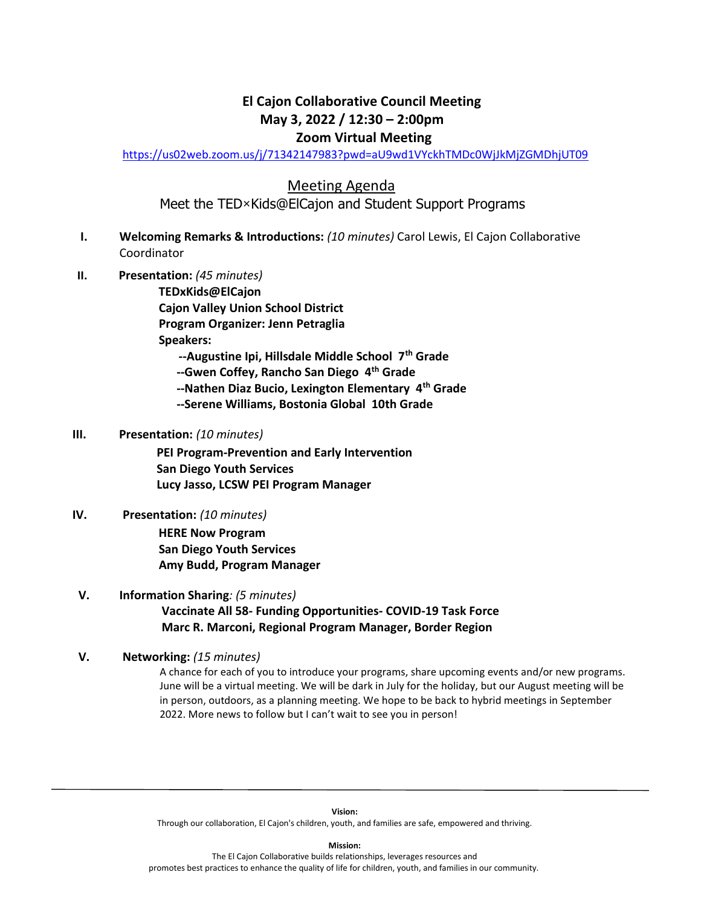# **El Cajon Collaborative Council Meeting May 3, 2022 / 12:30 – 2:00pm Zoom Virtual Meeting**

<https://us02web.zoom.us/j/71342147983?pwd=aU9wd1VYckhTMDc0WjJkMjZGMDhjUT09>

Meeting Agenda

Meet the TED×Kids@ElCajon and Student Support Programs

- **I. Welcoming Remarks & Introductions:** *(10 minutes)* Carol Lewis, El Cajon Collaborative Coordinator
- **II. Presentation:** *(45 minutes)*

**TEDxKids@ElCajon Cajon Valley Union School District Program Organizer: Jenn Petraglia Speakers: --Augustine Ipi, Hillsdale Middle School 7th Grade**

 **--Gwen Coffey, Rancho San Diego 4th Grade**

 **--Nathen Diaz Bucio, Lexington Elementary 4th Grade**

 **--Serene Williams, Bostonia Global 10th Grade**

#### **III. Presentation:** *(10 minutes)*

 **PEI Program-Prevention and Early Intervention San Diego Youth Services Lucy Jasso, LCSW PEI Program Manager**

#### **IV. Presentation:** *(10 minutes)*

**HERE Now Program San Diego Youth Services Amy Budd, Program Manager**

 **V. Information Sharing***: (5 minutes)* **Vaccinate All 58- Funding Opportunities- COVID-19 Task Force Marc R. Marconi, Regional Program Manager, Border Region**

#### **V. Networking:** *(15 minutes)*

A chance for each of you to introduce your programs, share upcoming events and/or new programs. June will be a virtual meeting. We will be dark in July for the holiday, but our August meeting will be in person, outdoors, as a planning meeting. We hope to be back to hybrid meetings in September 2022. More news to follow but I can't wait to see you in person!

**Vision:**  Through our collaboration, El Cajon's children, youth, and families are safe, empowered and thriving.

**Mission:**

The El Cajon Collaborative builds relationships, leverages resources and promotes best practices to enhance the quality of life for children, youth, and families in our community.